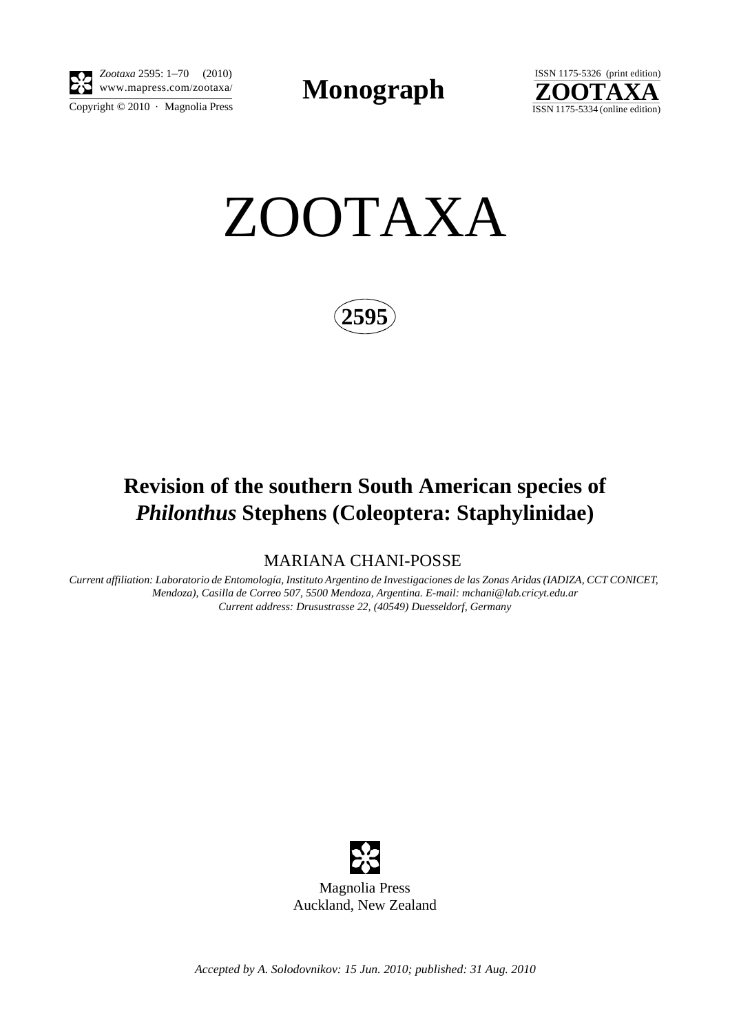

*Zootaxa* 2595: 1–70 (2010)

Copyright  $\odot$  2010 · Magnolia Press

**Monograph** 







# **Revision of the southern South American species of**  *Philonthus* **Stephens (Coleoptera: Staphylinidae)**

# MARIANA CHANI-POSSE

*Current affiliation: Laboratorio de Entomología, Instituto Argentino de Investigaciones de las Zonas Aridas (IADIZA, CCT CONICET, Mendoza), Casilla de Correo 507, 5500 Mendoza, Argentina. E-mail: mchani@lab.cricyt.edu.ar Current address: Drusustrasse 22, (40549) Duesseldorf, Germany*



*Accepted by A. Solodovnikov: 15 Jun. 2010; published: 31 Aug. 2010*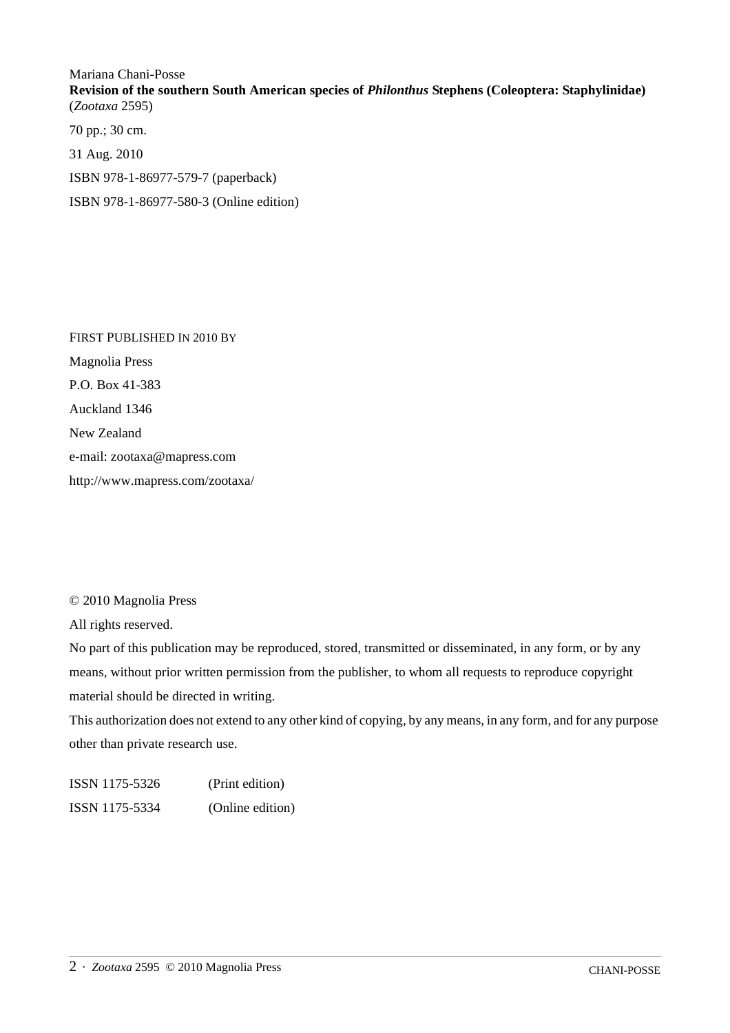Mariana Chani-Posse **Revision of the southern South American species of** *Philonthus* **Stephens (Coleoptera: Staphylinidae)** (*Zootaxa* 2595)

70 pp.; 30 cm. 31 Aug. 2010 ISBN 978-1-86977-579-7 (paperback) ISBN 978-1-86977-580-3 (Online edition)

FIRST PUBLISHED IN 2010 BY Magnolia Press P.O. Box 41-383 Auckland 1346 New Zealand e-mail: zootaxa@mapress.com http://www.mapress.com/zootaxa/

## © 2010 Magnolia Press

All rights reserved.

No part of this publication may be reproduced, stored, transmitted or disseminated, in any form, or by any means, without prior written permission from the publisher, to whom all requests to reproduce copyright material should be directed in writing.

This authorization does not extend to any other kind of copying, by any means, in any form, and for any purpose other than private research use.

ISSN 1175-5326 (Print edition) ISSN 1175-5334 (Online edition)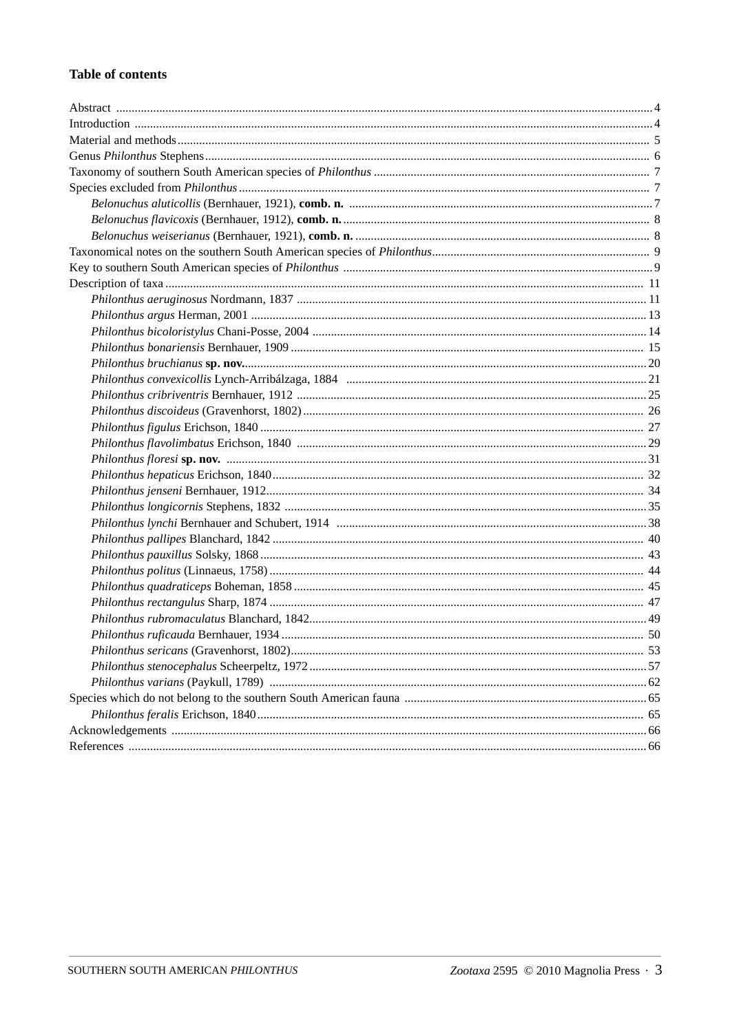## **Table of contents**

| 53 |
|----|
|    |
|    |
|    |
|    |
|    |
|    |